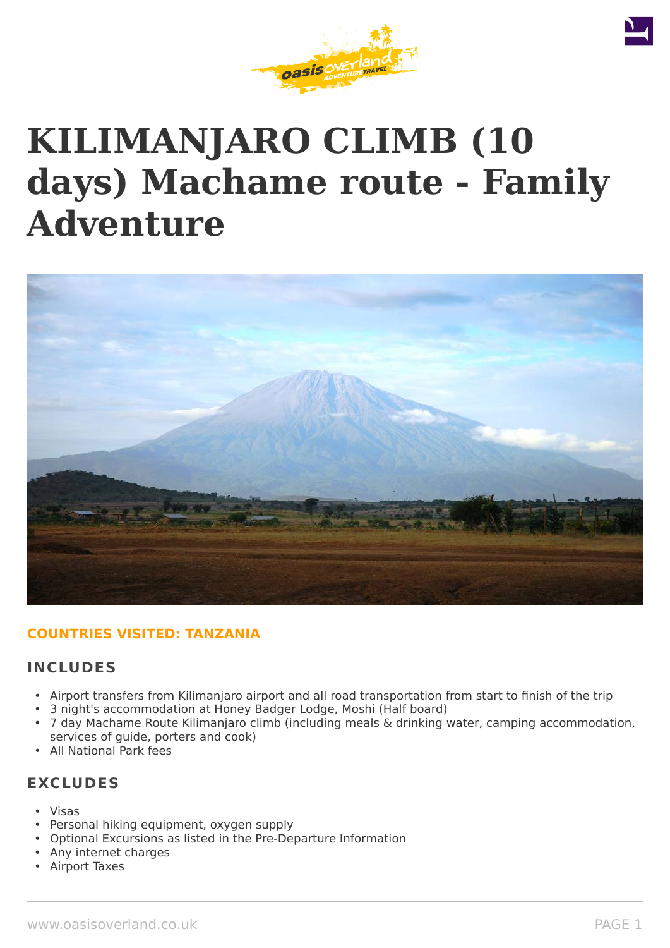

# **KILIMANJARO CLIMB (10 days) Machame route - Family Adventure**



# **COUNTRIES VISITED: TANZANIA**

# **INCLUDES**

- Airport transfers from Kilimanjaro airport and all road transportation from start to finish of the trip
- 3 night's accommodation at Honey Badger Lodge, Moshi (Half board)
- 7 day Machame Route Kilimanjaro climb (including meals & drinking water, camping accommodation, services of guide, porters and cook)
- All National Park fees

# **EXCLUDES**

- Visas
- Personal hiking equipment, oxygen supply
- Optional Excursions as listed in the Pre-Departure Information
- Any internet charges
- Airport Taxes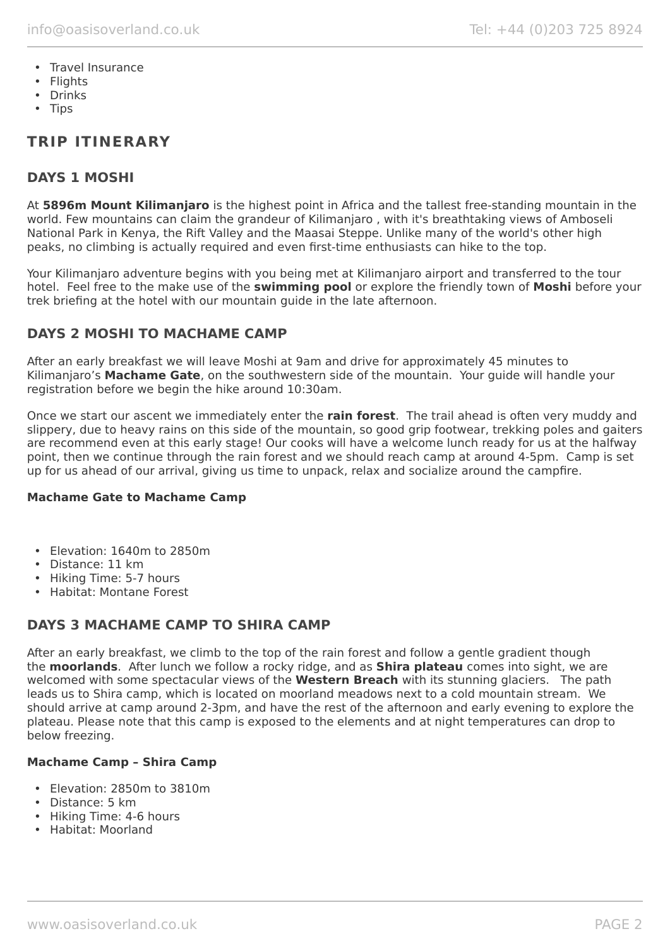- Travel Insurance
- Flights
- Drinks
- Tips

# **TRIP ITINERARY**

# **DAYS 1 MOSHI**

At **5896m Mount Kilimanjaro** is the highest point in Africa and the tallest free-standing mountain in the world. Few mountains can claim the grandeur of Kilimanjaro , with it's breathtaking views of Amboseli National Park in Kenya, the Rift Valley and the Maasai Steppe. Unlike many of the world's other high peaks, no climbing is actually required and even first-time enthusiasts can hike to the top.

Your Kilimanjaro adventure begins with you being met at Kilimanjaro airport and transferred to the tour hotel. Feel free to the make use of the **swimming pool** or explore the friendly town of **Moshi** before your trek briefing at the hotel with our mountain guide in the late afternoon.

# **DAYS 2 MOSHI TO MACHAME CAMP**

After an early breakfast we will leave Moshi at 9am and drive for approximately 45 minutes to Kilimanjaro's **Machame Gate**, on the southwestern side of the mountain. Your guide will handle your registration before we begin the hike around 10:30am.

Once we start our ascent we immediately enter the **rain forest**. The trail ahead is often very muddy and slippery, due to heavy rains on this side of the mountain, so good grip footwear, trekking poles and gaiters are recommend even at this early stage! Our cooks will have a welcome lunch ready for us at the halfway point, then we continue through the rain forest and we should reach camp at around 4-5pm. Camp is set up for us ahead of our arrival, giving us time to unpack, relax and socialize around the campfire.

### **Machame Gate to Machame Camp**

- Elevation: 1640m to 2850m
- Distance: 11 km
- Hiking Time: 5-7 hours
- Habitat: Montane Forest

# **DAYS 3 MACHAME CAMP TO SHIRA CAMP**

After an early breakfast, we climb to the top of the rain forest and follow a gentle gradient though the **moorlands**. After lunch we follow a rocky ridge, and as **Shira plateau** comes into sight, we are welcomed with some spectacular views of the **Western Breach** with its stunning glaciers. The path leads us to Shira camp, which is located on moorland meadows next to a cold mountain stream. We should arrive at camp around 2-3pm, and have the rest of the afternoon and early evening to explore the plateau. Please note that this camp is exposed to the elements and at night temperatures can drop to below freezing.

### **Machame Camp – Shira Camp**

- Elevation: 2850m to 3810m
- Distance: 5 km
- Hiking Time: 4-6 hours
- Habitat: Moorland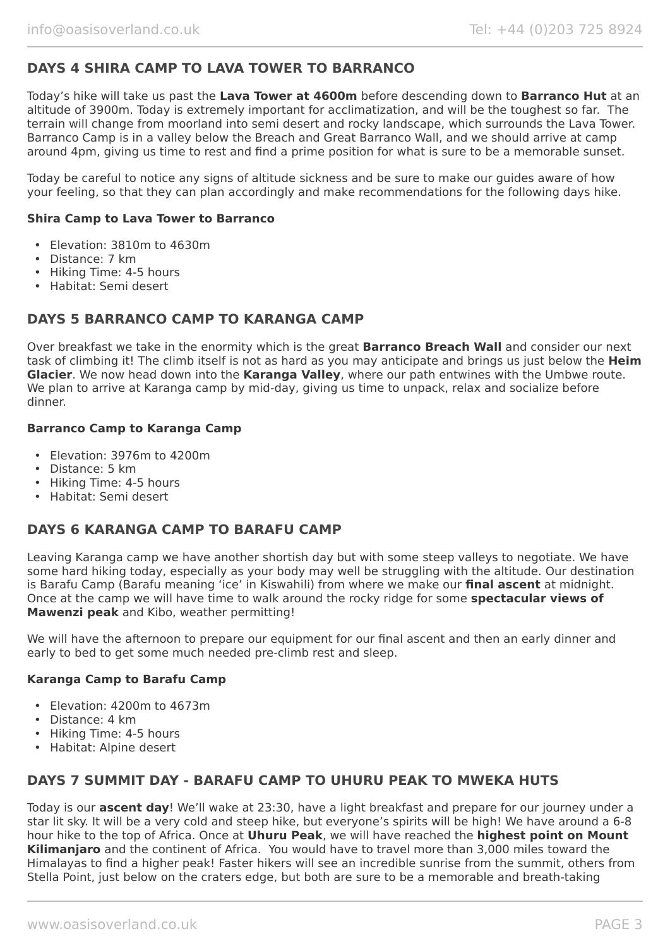# **DAYS 4 SHIRA CAMP TO LAVA TOWER TO BARRANCO**

Today's hike will take us past the **Lava Tower at 4600m** before descending down to **Barranco Hut** at an altitude of 3900m. Today is extremely important for acclimatization, and will be the toughest so far. The terrain will change from moorland into semi desert and rocky landscape, which surrounds the Lava Tower. Barranco Camp is in a valley below the Breach and Great Barranco Wall, and we should arrive at camp around 4pm, giving us time to rest and find a prime position for what is sure to be a memorable sunset.

Today be careful to notice any signs of altitude sickness and be sure to make our guides aware of how your feeling, so that they can plan accordingly and make recommendations for the following days hike.

#### **Shira Camp to Lava Tower to Barranco**

- Elevation: 3810m to 4630m
- Distance: 7 km
- Hiking Time: 4-5 hours
- Habitat: Semi desert

# **DAYS 5 BARRANCO CAMP TO KARANGA CAMP**

Over breakfast we take in the enormity which is the great **Barranco Breach Wall** and consider our next task of climbing it! The climb itself is not as hard as you may anticipate and brings us just below the **Heim Glacier**. We now head down into the **Karanga Valley**, where our path entwines with the Umbwe route. We plan to arrive at Karanga camp by mid-day, giving us time to unpack, relax and socialize before dinner.

#### **Barranco Camp to Karanga Camp**

- Elevation: 3976m to 4200m
- Distance: 5 km
- Hiking Time: 4-5 hours
- Habitat: Semi desert

### **DAYS 6 KARANGA CAMP TO BARAFU CAMP**

Leaving Karanga camp we have another shortish day but with some steep valleys to negotiate. We have some hard hiking today, especially as your body may well be struggling with the altitude. Our destination is Barafu Camp (Barafu meaning 'ice' in Kiswahili) from where we make our **final ascent** at midnight. Once at the camp we will have time to walk around the rocky ridge for some **spectacular views of Mawenzi peak** and Kibo, weather permitting!

We will have the afternoon to prepare our equipment for our final ascent and then an early dinner and early to bed to get some much needed pre-climb rest and sleep.

#### **Karanga Camp to Barafu Camp**

- Elevation: 4200m to 4673m
- Distance: 4 km
- Hiking Time: 4-5 hours
- Habitat: Alpine desert

# **DAYS 7 SUMMIT DAY - BARAFU CAMP TO UHURU PEAK TO MWEKA HUTS**

Today is our **ascent day**! We'll wake at 23:30, have a light breakfast and prepare for our journey under a star lit sky. It will be a very cold and steep hike, but everyone's spirits will be high! We have around a 6-8 hour hike to the top of Africa. Once at **Uhuru Peak**, we will have reached the **highest point on Mount Kilimanjaro** and the continent of Africa. You would have to travel more than 3,000 miles toward the Himalayas to find a higher peak! Faster hikers will see an incredible sunrise from the summit, others from Stella Point, just below on the craters edge, but both are sure to be a memorable and breath-taking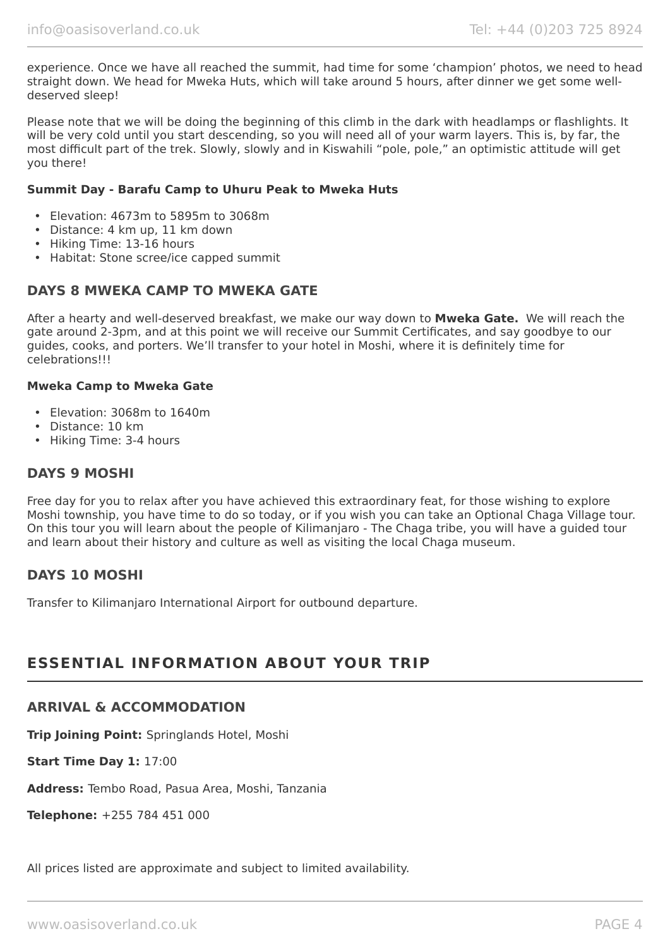experience. Once we have all reached the summit, had time for some 'champion' photos, we need to head straight down. We head for Mweka Huts, which will take around 5 hours, after dinner we get some welldeserved sleep!

Please note that we will be doing the beginning of this climb in the dark with headlamps or flashlights. It will be very cold until you start descending, so you will need all of your warm layers. This is, by far, the most difficult part of the trek. Slowly, slowly and in Kiswahili "pole, pole," an optimistic attitude will get you there!

#### **Summit Day - Barafu Camp to Uhuru Peak to Mweka Huts**

- Elevation: 4673m to 5895m to 3068m
- Distance: 4 km up, 11 km down
- Hiking Time: 13-16 hours
- Habitat: Stone scree/ice capped summit

# **DAYS 8 MWEKA CAMP TO MWEKA GATE**

After a hearty and well-deserved breakfast, we make our way down to **Mweka Gate.** We will reach the gate around 2-3pm, and at this point we will receive our Summit Certificates, and say goodbye to our guides, cooks, and porters. We'll transfer to your hotel in Moshi, where it is definitely time for celebrations!!!

#### **Mweka Camp to Mweka Gate**

- Elevation: 3068m to 1640m
- Distance: 10 km
- Hiking Time: 3-4 hours

# **DAYS 9 MOSHI**

Free day for you to relax after you have achieved this extraordinary feat, for those wishing to explore Moshi township, you have time to do so today, or if you wish you can take an Optional Chaga Village tour. On this tour you will learn about the people of Kilimanjaro - The Chaga tribe, you will have a guided tour and learn about their history and culture as well as visiting the local Chaga museum.

# **DAYS 10 MOSHI**

Transfer to Kilimanjaro International Airport for outbound departure.

# **ESSENTIAL INFORMATION ABOUT YOUR TRIP**

### **ARRIVAL & ACCOMMODATION**

**Trip Joining Point:** Springlands Hotel, Moshi

**Start Time Day 1:** 17:00

**Address:** Tembo Road, Pasua Area, Moshi, Tanzania

**Telephone:** +255 784 451 000

All prices listed are approximate and subject to limited availability.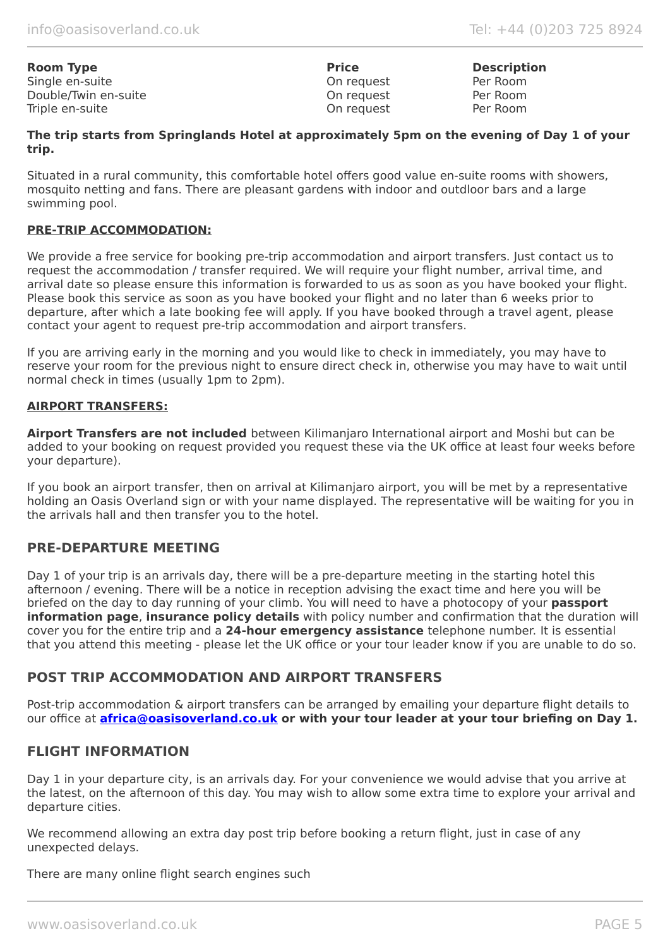| <b>Room Type</b>     | <b>Price</b> | <b>Descript</b> |
|----------------------|--------------|-----------------|
| Single en-suite      | On request   | Per Room        |
| Double/Twin en-suite | On request   | Per Room        |
| Triple en-suite      | On request   | Per Room        |

**Description** 

#### **The trip starts from Springlands Hotel at approximately 5pm on the evening of Day 1 of your trip.**

Situated in a rural community, this comfortable hotel offers good value en-suite rooms with showers, mosquito netting and fans. There are pleasant gardens with indoor and outdloor bars and a large swimming pool.

#### **PRE-TRIP ACCOMMODATION:**

We provide a free service for booking pre-trip accommodation and airport transfers. Just contact us to request the accommodation / transfer required. We will require your flight number, arrival time, and arrival date so please ensure this information is forwarded to us as soon as you have booked your flight. Please book this service as soon as you have booked your flight and no later than 6 weeks prior to departure, after which a late booking fee will apply. If you have booked through a travel agent, please contact your agent to request pre-trip accommodation and airport transfers.

If you are arriving early in the morning and you would like to check in immediately, you may have to reserve your room for the previous night to ensure direct check in, otherwise you may have to wait until normal check in times (usually 1pm to 2pm).

#### **AIRPORT TRANSFERS:**

**Airport Transfers are not included** between Kilimanjaro International airport and Moshi but can be added to your booking on request provided you request these via the UK office at least four weeks before your departure).

If you book an airport transfer, then on arrival at Kilimanjaro airport, you will be met by a representative holding an Oasis Overland sign or with your name displayed. The representative will be waiting for you in the arrivals hall and then transfer you to the hotel.

# **PRE-DEPARTURE MEETING**

Day 1 of your trip is an arrivals day, there will be a pre-departure meeting in the starting hotel this afternoon / evening. There will be a notice in reception advising the exact time and here you will be briefed on the day to day running of your climb. You will need to have a photocopy of your **passport information page**, **insurance policy details** with policy number and confirmation that the duration will cover you for the entire trip and a **24-hour emergency assistance** telephone number. It is essential that you attend this meeting - please let the UK office or your tour leader know if you are unable to do so.

# **POST TRIP ACCOMMODATION AND AIRPORT TRANSFERS**

Post-trip accommodation & airport transfers can be arranged by emailing your departure flight details to our office at **[africa@oasisoverland.co.uk](mailto:africa@oasisoverland.co.uk) or with your tour leader at your tour briefing on Day 1.**

## **FLIGHT INFORMATION**

Day 1 in your departure city, is an arrivals day. For your convenience we would advise that you arrive at the latest, on the afternoon of this day. You may wish to allow some extra time to explore your arrival and departure cities.

We recommend allowing an extra day post trip before booking a return flight, just in case of any unexpected delays.

There are many online flight search engines such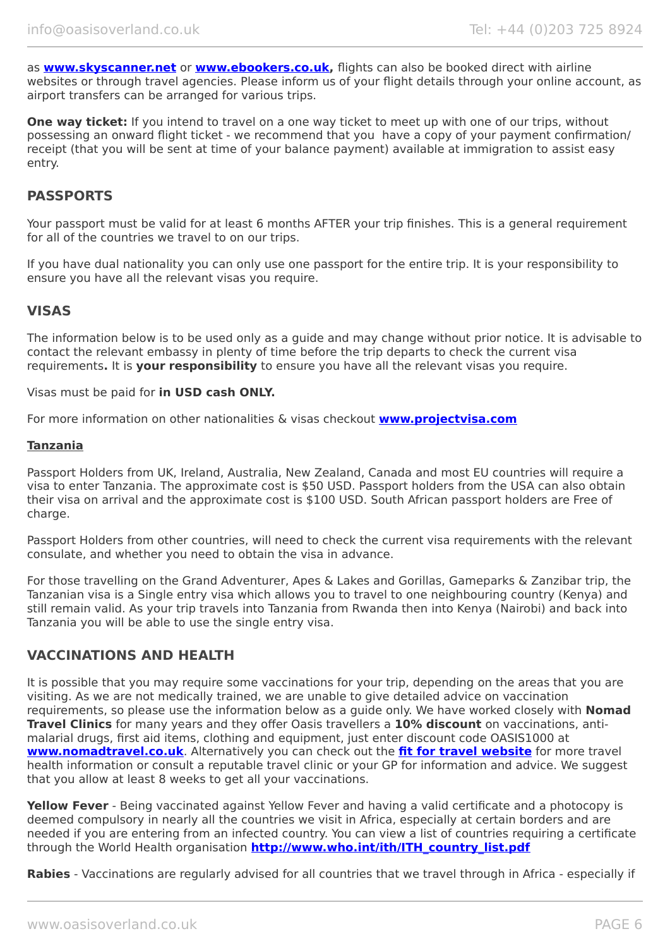as **[www.skyscanner.net](http://www.dpbolvw.net/click-5720161-10639348)** or **[www.ebookers.co.uk,](http://www.ebookers.co.uk/)** flights can also be booked direct with airline websites or through travel agencies. Please inform us of your flight details through your online account, as airport transfers can be arranged for various trips.

**One way ticket:** If you intend to travel on a one way ticket to meet up with one of our trips, without possessing an onward flight ticket - we recommend that you have a copy of your payment confirmation/ receipt (that you will be sent at time of your balance payment) available at immigration to assist easy entry.

## **PASSPORTS**

Your passport must be valid for at least 6 months AFTER your trip finishes. This is a general requirement for all of the countries we travel to on our trips.

If you have dual nationality you can only use one passport for the entire trip. It is your responsibility to ensure you have all the relevant visas you require.

# **VISAS**

The information below is to be used only as a guide and may change without prior notice. It is advisable to contact the relevant embassy in plenty of time before the trip departs to check the current visa requirements**.** It is **your responsibility** to ensure you have all the relevant visas you require.

Visas must be paid for **in USD cash ONLY.**

For more information on other nationalities & visas checkout **[www.projectvisa.com](http://www.projectvisa.com/)**

#### **Tanzania**

Passport Holders from UK, Ireland, Australia, New Zealand, Canada and most EU countries will require a visa to enter Tanzania. The approximate cost is \$50 USD. Passport holders from the USA can also obtain their visa on arrival and the approximate cost is \$100 USD. South African passport holders are Free of charge.

Passport Holders from other countries, will need to check the current visa requirements with the relevant consulate, and whether you need to obtain the visa in advance.

For those travelling on the Grand Adventurer, Apes & Lakes and Gorillas, Gameparks & Zanzibar trip, the Tanzanian visa is a Single entry visa which allows you to travel to one neighbouring country (Kenya) and still remain valid. As your trip travels into Tanzania from Rwanda then into Kenya (Nairobi) and back into Tanzania you will be able to use the single entry visa.

### **VACCINATIONS AND HEALTH**

It is possible that you may require some vaccinations for your trip, depending on the areas that you are visiting. As we are not medically trained, we are unable to give detailed advice on vaccination requirements, so please use the information below as a guide only. We have worked closely with **Nomad Travel Clinics** for many years and they offer Oasis travellers a **10% discount** on vaccinations, antimalarial drugs, first aid items, clothing and equipment, just enter discount code OASIS1000 at **[www.nomadtravel.co.uk](http://www.nomadtravel.co.uk/)**. Alternatively you can check out the **[fit for travel website](http://www.fitfortravel.scot.nhs.uk/home.aspx)** for more travel health information or consult a reputable travel clinic or your GP for information and advice. We suggest that you allow at least 8 weeks to get all your vaccinations.

**Yellow Fever** - Being vaccinated against Yellow Fever and having a valid certificate and a photocopy is deemed compulsory in nearly all the countries we visit in Africa, especially at certain borders and are needed if you are entering from an infected country. You can view a list of countries requiring a certificate through the World Health organisation **[http://www.who.int/ith/ITH\\_country\\_list.pdf](http://www.who.int/ith/ITH_country_list.pdf)**

**Rabies** - Vaccinations are regularly advised for all countries that we travel through in Africa - especially if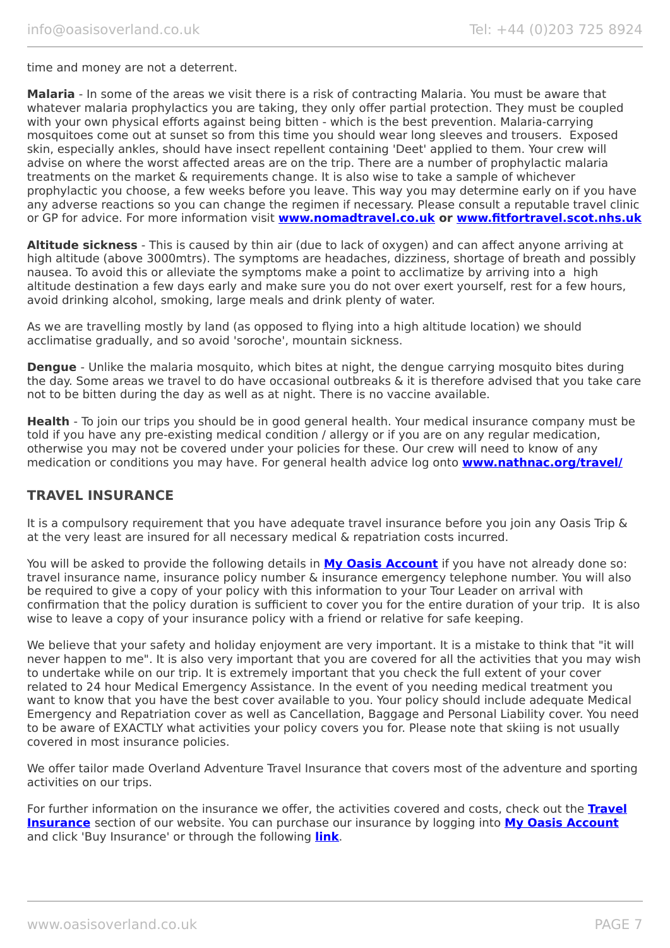time and money are not a deterrent.

**Malaria** - In some of the areas we visit there is a risk of contracting Malaria. You must be aware that whatever malaria prophylactics you are taking, they only offer partial protection. They must be coupled with your own physical efforts against being bitten - which is the best prevention. Malaria-carrying mosquitoes come out at sunset so from this time you should wear long sleeves and trousers. Exposed skin, especially ankles, should have insect repellent containing 'Deet' applied to them. Your crew will advise on where the worst affected areas are on the trip. There are a number of prophylactic malaria treatments on the market & requirements change. It is also wise to take a sample of whichever prophylactic you choose, a few weeks before you leave. This way you may determine early on if you have any adverse reactions so you can change the regimen if necessary. Please consult a reputable travel clinic or GP for advice. For more information visit **[www.nomadtravel.co.uk](https://www.nomadtravel.co.uk/) or [www.fitfortravel.scot.nhs.uk](http://www.fitfortravel.scot.nhs.uk/)**

**Altitude sickness** - This is caused by thin air (due to lack of oxygen) and can affect anyone arriving at high altitude (above 3000mtrs). The symptoms are headaches, dizziness, shortage of breath and possibly nausea. To avoid this or alleviate the symptoms make a point to acclimatize by arriving into a high altitude destination a few days early and make sure you do not over exert yourself, rest for a few hours, avoid drinking alcohol, smoking, large meals and drink plenty of water.

As we are travelling mostly by land (as opposed to flying into a high altitude location) we should acclimatise gradually, and so avoid 'soroche', mountain sickness.

**Dengue** - Unlike the malaria mosquito, which bites at night, the dengue carrying mosquito bites during the day. Some areas we travel to do have occasional outbreaks & it is therefore advised that you take care not to be bitten during the day as well as at night. There is no vaccine available.

**Health** - To join our trips you should be in good general health. Your medical insurance company must be told if you have any pre-existing medical condition / allergy or if you are on any regular medication, otherwise you may not be covered under your policies for these. Our crew will need to know of any medication or conditions you may have. For general health advice log onto **[www.nathnac.org/travel/](http://www.nathnac.org/travel/index.htm)**

# **TRAVEL INSURANCE**

It is a compulsory requirement that you have adequate travel insurance before you join any Oasis Trip & at the very least are insured for all necessary medical & repatriation costs incurred.

You will be asked to provide the following details in **My [Oasis Account](https://oasisportal.eecsoftware.com/)** if you have not already done so: travel insurance name, insurance policy number & insurance emergency telephone number. You will also be required to give a copy of your policy with this information to your Tour Leader on arrival with confirmation that the policy duration is sufficient to cover you for the entire duration of your trip. It is also wise to leave a copy of your insurance policy with a friend or relative for safe keeping.

We believe that your safety and holiday enjoyment are very important. It is a mistake to think that "it will never happen to me". It is also very important that you are covered for all the activities that you may wish to undertake while on our trip. It is extremely important that you check the full extent of your cover related to 24 hour Medical Emergency Assistance. In the event of you needing medical treatment you want to know that you have the best cover available to you. Your policy should include adequate Medical Emergency and Repatriation cover as well as Cancellation, Baggage and Personal Liability cover. You need to be aware of EXACTLY what activities your policy covers you for. Please note that skiing is not usually covered in most insurance policies.

We offer tailor made Overland Adventure Travel Insurance that covers most of the adventure and sporting activities on our trips.

For further information on the insurance we offer, the activities covered and costs, check out the **[Travel](https://www.oasisoverland.co.uk/travel-insurance) [Insurance](https://www.oasisoverland.co.uk/travel-insurance)** section of our website. You can purchase our insurance by logging into **[My Oasis Account](https://oasisportal.eecsoftware.com/)** and click 'Buy Insurance' or through the following **[link](https://www.campbellirvinedirect.com/oasisoverland/)**.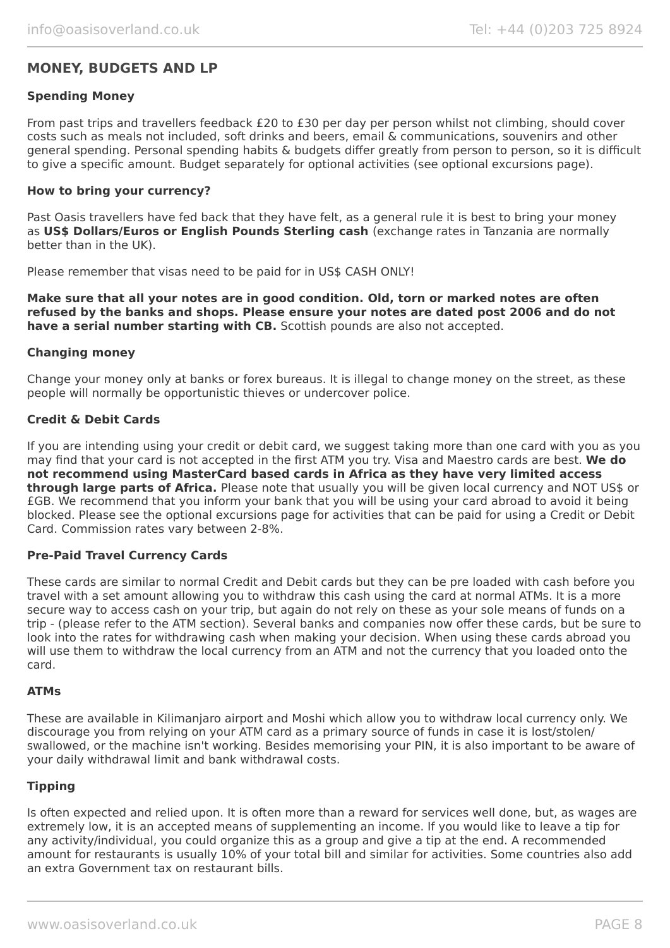# **MONEY, BUDGETS AND LP**

#### **Spending Money**

From past trips and travellers feedback £20 to £30 per day per person whilst not climbing, should cover costs such as meals not included, soft drinks and beers, email & communications, souvenirs and other general spending. Personal spending habits & budgets differ greatly from person to person, so it is difficult to give a specific amount. Budget separately for optional activities (see optional excursions page).

#### **How to bring your currency?**

Past Oasis travellers have fed back that they have felt, as a general rule it is best to bring your money as **US\$ Dollars/Euros or English Pounds Sterling cash** (exchange rates in Tanzania are normally better than in the UK).

Please remember that visas need to be paid for in US\$ CASH ONLY!

**Make sure that all your notes are in good condition. Old, torn or marked notes are often refused by the banks and shops. Please ensure your notes are dated post 2006 and do not have a serial number starting with CB.** Scottish pounds are also not accepted.

#### **Changing money**

Change your money only at banks or forex bureaus. It is illegal to change money on the street, as these people will normally be opportunistic thieves or undercover police.

#### **Credit & Debit Cards**

If you are intending using your credit or debit card, we suggest taking more than one card with you as you may find that your card is not accepted in the first ATM you try. Visa and Maestro cards are best. **We do not recommend using MasterCard based cards in Africa as they have very limited access through large parts of Africa.** Please note that usually you will be given local currency and NOT US\$ or £GB. We recommend that you inform your bank that you will be using your card abroad to avoid it being blocked. Please see the optional excursions page for activities that can be paid for using a Credit or Debit Card. Commission rates vary between 2-8%.

#### **Pre-Paid Travel Currency Cards**

These cards are similar to normal Credit and Debit cards but they can be pre loaded with cash before you travel with a set amount allowing you to withdraw this cash using the card at normal ATMs. It is a more secure way to access cash on your trip, but again do not rely on these as your sole means of funds on a trip - (please refer to the ATM section). Several banks and companies now offer these cards, but be sure to look into the rates for withdrawing cash when making your decision. When using these cards abroad you will use them to withdraw the local currency from an ATM and not the currency that you loaded onto the card.

#### **ATMs**

These are available in Kilimanjaro airport and Moshi which allow you to withdraw local currency only. We discourage you from relying on your ATM card as a primary source of funds in case it is lost/stolen/ swallowed, or the machine isn't working. Besides memorising your PIN, it is also important to be aware of your daily withdrawal limit and bank withdrawal costs.

#### **Tipping**

Is often expected and relied upon. It is often more than a reward for services well done, but, as wages are extremely low, it is an accepted means of supplementing an income. If you would like to leave a tip for any activity/individual, you could organize this as a group and give a tip at the end. A recommended amount for restaurants is usually 10% of your total bill and similar for activities. Some countries also add an extra Government tax on restaurant bills.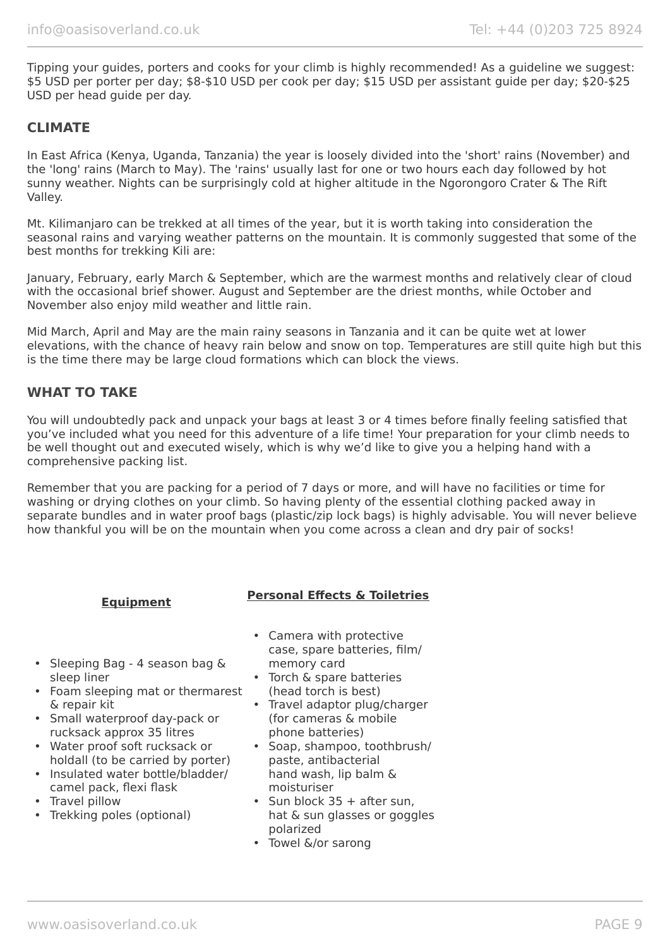Tipping your guides, porters and cooks for your climb is highly recommended! As a guideline we suggest: \$5 USD per porter per day; \$8-\$10 USD per cook per day; \$15 USD per assistant guide per day; \$20-\$25 USD per head guide per day.

# **CLIMATE**

In East Africa (Kenya, Uganda, Tanzania) the year is loosely divided into the 'short' rains (November) and the 'long' rains (March to May). The 'rains' usually last for one or two hours each day followed by hot sunny weather. Nights can be surprisingly cold at higher altitude in the Ngorongoro Crater & The Rift Valley.

Mt. Kilimanjaro can be trekked at all times of the year, but it is worth taking into consideration the seasonal rains and varying weather patterns on the mountain. It is commonly suggested that some of the best months for trekking Kili are:

January, February, early March & September, which are the warmest months and relatively clear of cloud with the occasional brief shower. August and September are the driest months, while October and November also enjoy mild weather and little rain.

Mid March, April and May are the main rainy seasons in Tanzania and it can be quite wet at lower elevations, with the chance of heavy rain below and snow on top. Temperatures are still quite high but this is the time there may be large cloud formations which can block the views.

# **WHAT TO TAKE**

You will undoubtedly pack and unpack your bags at least 3 or 4 times before finally feeling satisfied that you've included what you need for this adventure of a life time! Your preparation for your climb needs to be well thought out and executed wisely, which is why we'd like to give you a helping hand with a comprehensive packing list.

Remember that you are packing for a period of 7 days or more, and will have no facilities or time for washing or drying clothes on your climb. So having plenty of the essential clothing packed away in separate bundles and in water proof bags (plastic/zip lock bags) is highly advisable. You will never believe how thankful you will be on the mountain when you come across a clean and dry pair of socks!

# **Equipment Personal Effects & Toiletries**

- Sleeping Bag 4 season bag & sleep liner
- Foam sleeping mat or thermarest & repair kit
- Small waterproof day-pack or rucksack approx 35 litres
- Water proof soft rucksack or holdall (to be carried by porter)
- Insulated water bottle/bladder/ camel pack, flexi flask
- Travel pillow
- Trekking poles (optional)
- Camera with protective case, spare batteries, film/ memory card
- Torch & spare batteries (head torch is best)
- Travel adaptor plug/charger (for cameras & mobile phone batteries)
- Soap, shampoo, toothbrush/ paste, antibacterial hand wash, lip balm & moisturiser
- Sun block 35 + after sun. hat & sun glasses or goggles polarized
- Towel &/or sarong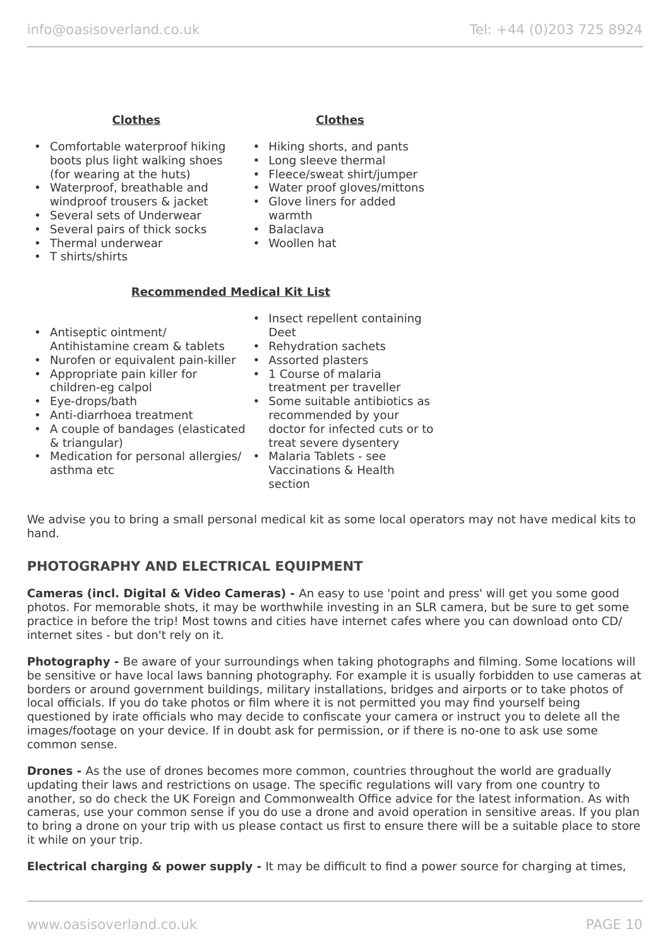# **Clothes Clothes**

- Comfortable waterproof hiking boots plus light walking shoes (for wearing at the huts)
- Waterproof, breathable and windproof trousers & jacket
- Several sets of Underwear
- Several pairs of thick socks
- Thermal underwear
- T shirts/shirts

- Hiking shorts, and pants
- Long sleeve thermal
- Fleece/sweat shirt/jumper
- Water proof gloves/mittons
- Glove liners for added warmth
- Balaclava
- Woollen hat

# **Recommended Medical Kit List**

- Antiseptic ointment/ Antihistamine cream & tablets
- Nurofen or equivalent pain-killer
- Appropriate pain killer for children-eg calpol
- Eye-drops/bath
- Anti-diarrhoea treatment
- A couple of bandages (elasticated & triangular)
- Medication for personal allergies/ Malaria Tablets see asthma etc
- Insect repellent containing Deet
- Rehydration sachets
- Assorted plasters
- 1 Course of malaria treatment per traveller
- Some suitable antibiotics as recommended by your doctor for infected cuts or to treat severe dysentery
- Vaccinations & Health section

We advise you to bring a small personal medical kit as some local operators may not have medical kits to hand.

# **PHOTOGRAPHY AND ELECTRICAL EQUIPMENT**

**Cameras (incl. Digital & Video Cameras) -** An easy to use 'point and press' will get you some good photos. For memorable shots, it may be worthwhile investing in an SLR camera, but be sure to get some practice in before the trip! Most towns and cities have internet cafes where you can download onto CD/ internet sites - but don't rely on it.

**Photography -** Be aware of your surroundings when taking photographs and filming. Some locations will be sensitive or have local laws banning photography. For example it is usually forbidden to use cameras at borders or around government buildings, military installations, bridges and airports or to take photos of local officials. If you do take photos or film where it is not permitted you may find yourself being questioned by irate officials who may decide to confiscate your camera or instruct you to delete all the images/footage on your device. If in doubt ask for permission, or if there is no-one to ask use some common sense.

**Drones -** As the use of drones becomes more common, countries throughout the world are gradually updating their laws and restrictions on usage. The specific regulations will vary from one country to another, so do check the UK Foreign and Commonwealth Office advice for the latest information. As with cameras, use your common sense if you do use a drone and avoid operation in sensitive areas. If you plan to bring a drone on your trip with us please contact us first to ensure there will be a suitable place to store it while on your trip.

**Electrical charging & power supply -** It may be difficult to find a power source for charging at times,

info@oasisoverland.co.uk Tel: +44 (0)203 725 8924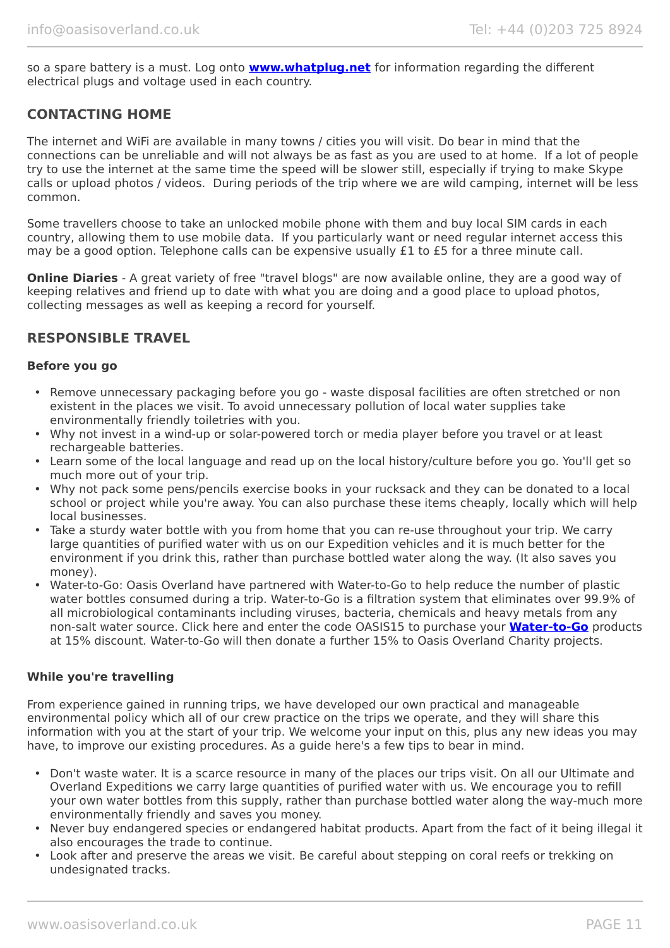so a spare battery is a must. Log onto **[www.whatplug.net](http://www.whatplug.net/)** for information regarding the different electrical plugs and voltage used in each country.

# **CONTACTING HOME**

The internet and WiFi are available in many towns / cities you will visit. Do bear in mind that the connections can be unreliable and will not always be as fast as you are used to at home. If a lot of people try to use the internet at the same time the speed will be slower still, especially if trying to make Skype calls or upload photos / videos. During periods of the trip where we are wild camping, internet will be less common.

Some travellers choose to take an unlocked mobile phone with them and buy local SIM cards in each country, allowing them to use mobile data. If you particularly want or need regular internet access this may be a good option. Telephone calls can be expensive usually £1 to £5 for a three minute call.

**Online Diaries** - A great variety of free "travel blogs" are now available online, they are a good way of keeping relatives and friend up to date with what you are doing and a good place to upload photos, collecting messages as well as keeping a record for yourself.

# **RESPONSIBLE TRAVEL**

#### **Before you go**

- Remove unnecessary packaging before you go waste disposal facilities are often stretched or non existent in the places we visit. To avoid unnecessary pollution of local water supplies take environmentally friendly toiletries with you.
- Why not invest in a wind-up or solar-powered torch or media player before you travel or at least rechargeable batteries.
- Learn some of the local language and read up on the local history/culture before you go. You'll get so much more out of your trip.
- Why not pack some pens/pencils exercise books in your rucksack and they can be donated to a local school or project while you're away. You can also purchase these items cheaply, locally which will help local businesses.
- Take a sturdy water bottle with you from home that you can re-use throughout your trip. We carry large quantities of purified water with us on our Expedition vehicles and it is much better for the environment if you drink this, rather than purchase bottled water along the way. (It also saves you money).
- Water-to-Go: Oasis Overland have partnered with Water-to-Go to help reduce the number of plastic water bottles consumed during a trip. Water-to-Go is a filtration system that eliminates over 99.9% of all microbiological contaminants including viruses, bacteria, chemicals and heavy metals from any non-salt water source. Click here and enter the code OASIS15 to purchase your **[Water-to-Go](https://watertogo.eu/partnerships/oasisoverland/)** products at 15% discount. Water-to-Go will then donate a further 15% to Oasis Overland Charity projects.

#### **While you're travelling**

From experience gained in running trips, we have developed our own practical and manageable environmental policy which all of our crew practice on the trips we operate, and they will share this information with you at the start of your trip. We welcome your input on this, plus any new ideas you may have, to improve our existing procedures. As a guide here's a few tips to bear in mind.

- Don't waste water. It is a scarce resource in many of the places our trips visit. On all our Ultimate and Overland Expeditions we carry large quantities of purified water with us. We encourage you to refill your own water bottles from this supply, rather than purchase bottled water along the way-much more environmentally friendly and saves you money.
- Never buy endangered species or endangered habitat products. Apart from the fact of it being illegal it also encourages the trade to continue.
- Look after and preserve the areas we visit. Be careful about stepping on coral reefs or trekking on undesignated tracks.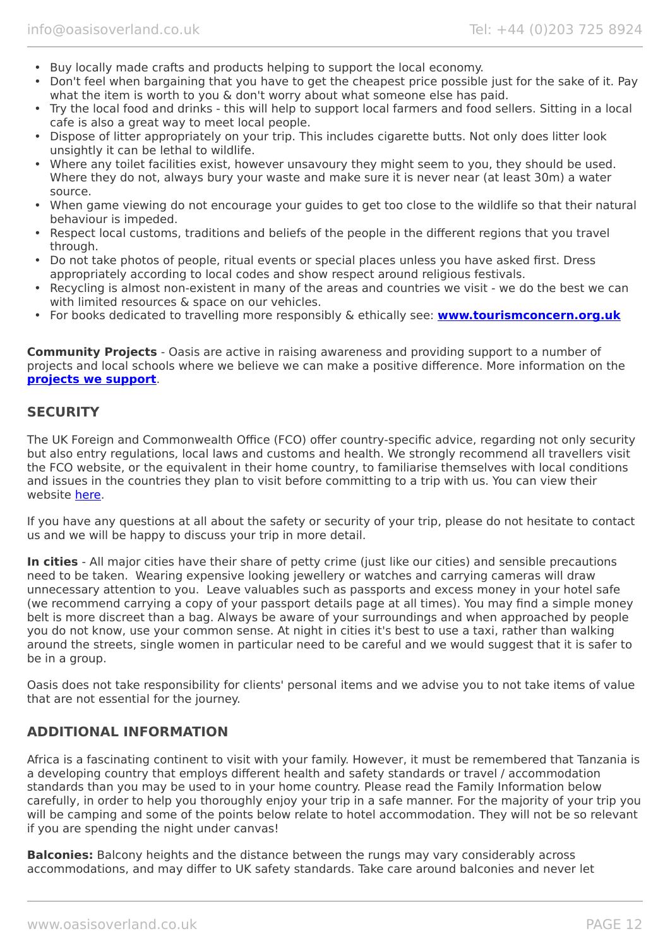- Buy locally made crafts and products helping to support the local economy.
- Don't feel when bargaining that you have to get the cheapest price possible just for the sake of it. Pay what the item is worth to you & don't worry about what someone else has paid.
- Try the local food and drinks this will help to support local farmers and food sellers. Sitting in a local cafe is also a great way to meet local people.
- Dispose of litter appropriately on your trip. This includes cigarette butts. Not only does litter look unsightly it can be lethal to wildlife.
- Where any toilet facilities exist, however unsavoury they might seem to you, they should be used. Where they do not, always bury your waste and make sure it is never near (at least 30m) a water source.
- When game viewing do not encourage your guides to get too close to the wildlife so that their natural behaviour is impeded.
- Respect local customs, traditions and beliefs of the people in the different regions that you travel through.
- Do not take photos of people, ritual events or special places unless you have asked first. Dress appropriately according to local codes and show respect around religious festivals.
- Recycling is almost non-existent in many of the areas and countries we visit we do the best we can with limited resources & space on our vehicles.
- For books dedicated to travelling more responsibly & ethically see: **[www.tourismconcern.org.uk](https://www.tourismconcern.org.uk/)**

**Community Projects** - Oasis are active in raising awareness and providing support to a number of projects and local schools where we believe we can make a positive difference. More information on the **[projects we support](https://www.oasisoverland.co.uk/responsible-travel/charities-we-support)**.

### **SECURITY**

The UK Foreign and Commonwealth Office (FCO) offer country-specific advice, regarding not only security but also entry regulations, local laws and customs and health. We strongly recommend all travellers visit the FCO website, or the equivalent in their home country, to familiarise themselves with local conditions and issues in the countries they plan to visit before committing to a trip with us. You can view their website [here.](https://www.gov.uk/foreign-travel-advice)

If you have any questions at all about the safety or security of your trip, please do not hesitate to contact us and we will be happy to discuss your trip in more detail.

**In cities** - All major cities have their share of petty crime (just like our cities) and sensible precautions need to be taken. Wearing expensive looking jewellery or watches and carrying cameras will draw unnecessary attention to you. Leave valuables such as passports and excess money in your hotel safe (we recommend carrying a copy of your passport details page at all times). You may find a simple money belt is more discreet than a bag. Always be aware of your surroundings and when approached by people you do not know, use your common sense. At night in cities it's best to use a taxi, rather than walking around the streets, single women in particular need to be careful and we would suggest that it is safer to be in a group.

Oasis does not take responsibility for clients' personal items and we advise you to not take items of value that are not essential for the journey.

### **ADDITIONAL INFORMATION**

Africa is a fascinating continent to visit with your family. However, it must be remembered that Tanzania is a developing country that employs different health and safety standards or travel / accommodation standards than you may be used to in your home country. Please read the Family Information below carefully, in order to help you thoroughly enjoy your trip in a safe manner. For the majority of your trip you will be camping and some of the points below relate to hotel accommodation. They will not be so relevant if you are spending the night under canvas!

**Balconies:** Balcony heights and the distance between the rungs may vary considerably across accommodations, and may differ to UK safety standards. Take care around balconies and never let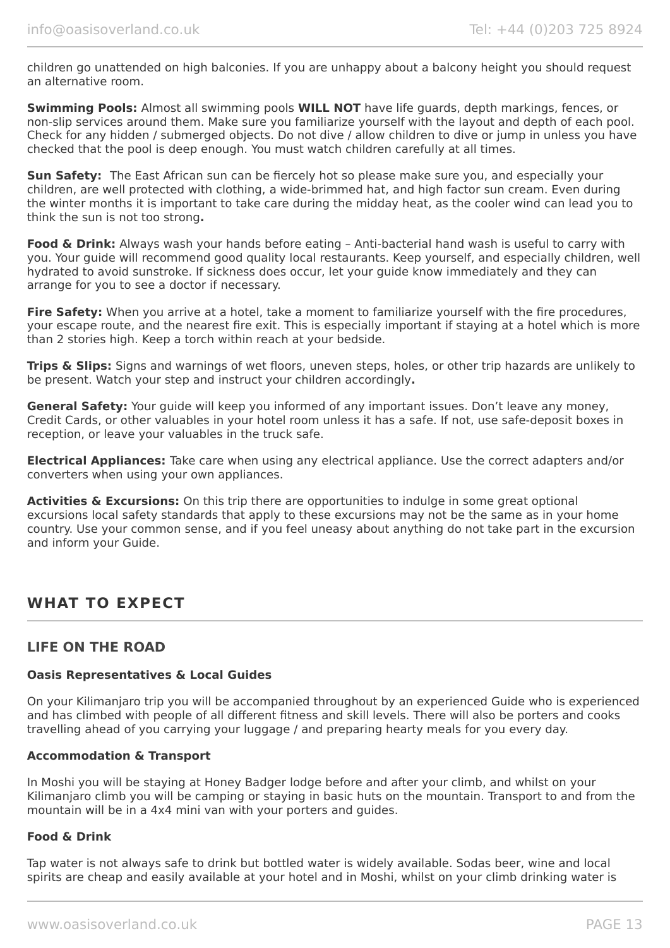children go unattended on high balconies. If you are unhappy about a balcony height you should request an alternative room.

**Swimming Pools:** Almost all swimming pools **WILL NOT** have life guards, depth markings, fences, or non-slip services around them. Make sure you familiarize yourself with the layout and depth of each pool. Check for any hidden / submerged objects. Do not dive / allow children to dive or jump in unless you have checked that the pool is deep enough. You must watch children carefully at all times.

**Sun Safety:** The East African sun can be fiercely hot so please make sure you, and especially your children, are well protected with clothing, a wide-brimmed hat, and high factor sun cream. Even during the winter months it is important to take care during the midday heat, as the cooler wind can lead you to think the sun is not too strong**.**

**Food & Drink:** Always wash your hands before eating – Anti-bacterial hand wash is useful to carry with you. Your guide will recommend good quality local restaurants. Keep yourself, and especially children, well hydrated to avoid sunstroke. If sickness does occur, let your guide know immediately and they can arrange for you to see a doctor if necessary.

**Fire Safety:** When you arrive at a hotel, take a moment to familiarize yourself with the fire procedures, your escape route, and the nearest fire exit. This is especially important if staying at a hotel which is more than 2 stories high. Keep a torch within reach at your bedside.

**Trips & Slips:** Signs and warnings of wet floors, uneven steps, holes, or other trip hazards are unlikely to be present. Watch your step and instruct your children accordingly**.**

**General Safety:** Your guide will keep you informed of any important issues. Don't leave any money, Credit Cards, or other valuables in your hotel room unless it has a safe. If not, use safe-deposit boxes in reception, or leave your valuables in the truck safe.

**Electrical Appliances:** Take care when using any electrical appliance. Use the correct adapters and/or converters when using your own appliances.

**Activities & Excursions:** On this trip there are opportunities to indulge in some great optional excursions local safety standards that apply to these excursions may not be the same as in your home country. Use your common sense, and if you feel uneasy about anything do not take part in the excursion and inform your Guide.

# **WHAT TO EXPECT**

# **LIFE ON THE ROAD**

#### **Oasis Representatives & Local Guides**

On your Kilimanjaro trip you will be accompanied throughout by an experienced Guide who is experienced and has climbed with people of all different fitness and skill levels. There will also be porters and cooks travelling ahead of you carrying your luggage / and preparing hearty meals for you every day.

#### **Accommodation & Transport**

In Moshi you will be staying at Honey Badger lodge before and after your climb, and whilst on your Kilimanjaro climb you will be camping or staying in basic huts on the mountain. Transport to and from the mountain will be in a 4x4 mini van with your porters and guides.

#### **Food & Drink**

Tap water is not always safe to drink but bottled water is widely available. Sodas beer, wine and local spirits are cheap and easily available at your hotel and in Moshi, whilst on your climb drinking water is